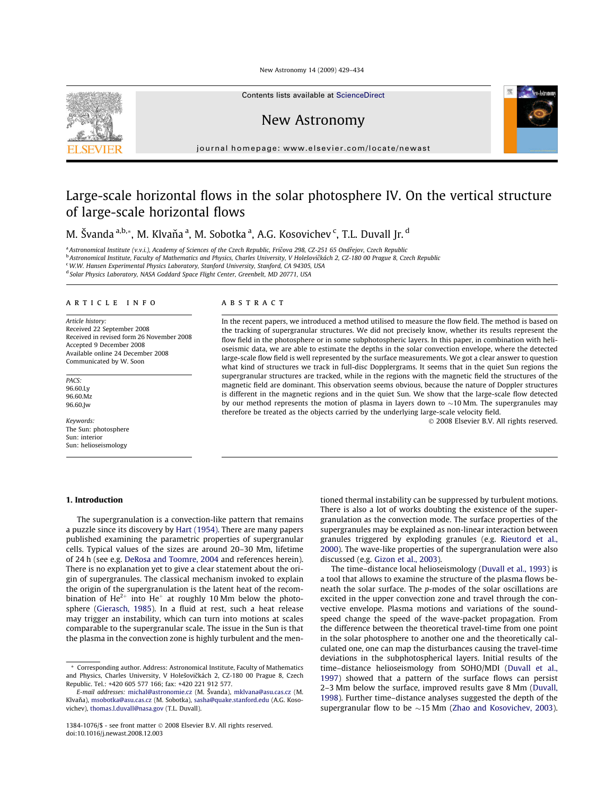New Astronomy 14 (2009) 429-434



Contents lists available at ScienceDirect

## New Astronomy



journal homepage: www.elsevier.com/locate/newast

# Large-scale horizontal flows in the solar photosphere IV. On the vertical structure of large-scale horizontal flows

M. Švanda a,b,\*, M. Klvaňa a, M. Sobotka a, A.G. Kosovichev c, T.L. Duvall Jr. d

a Astronomical Institute (v.v.i.), Academy of Sciences of the Czech Republic, Fričova 298, CZ-251 65 Ondřejov, Czech Republic <sup>b</sup> Astronomical Institute, Faculty of Mathematics and Physics, Charles University, V Holešovičkách 2, CZ-180 00 Prague 8, Czech Republic <sup>c</sup> W.W. Hansen Experimental Physics Laboratory, Stanford University, Stanford, CA 94305, USA <sup>d</sup> Solar Physics Laboratory, NASA Goddard Space Flight Center, Greenbelt, MD 20771, USA

### ARTICLE INFO

Article history: Received 22 September 2008 Received in revised form 26 November 2008 Accepted 9 December 2008 Available online 24 December 2008 Communicated by W. Soon

PACS<sup>-</sup> 96.60.Lv 96.60 Mz 96.60.Jw

Keywords: The Sun: photosphere Sun: interior Sun: helioseismology

## 1. Introduction

## **ABSTRACT**

In the recent papers, we introduced a method utilised to measure the flow field. The method is based on the tracking of supergranular structures. We did not precisely know, whether its results represent the flow field in the photosphere or in some subphotospheric layers. In this paper, in combination with helioseismic data, we are able to estimate the depths in the solar convection envelope, where the detected large-scale flow field is well represented by the surface measurements. We got a clear answer to question what kind of structures we track in full-disc Dopplergrams. It seems that in the quiet Sun regions the supergranular structures are tracked, while in the regions with the magnetic field the structures of the magnetic field are dominant. This observation seems obvious, because the nature of Doppler structures is different in the magnetic regions and in the quiet Sun. We show that the large-scale flow detected by our method represents the motion of plasma in layers down to  $\sim$ 10 Mm. The supergranules may therefore be treated as the objects carried by the underlying large-scale velocity field.

@ 2008 Elsevier B.V. All rights reserved.

The supergranulation is a convection-like pattern that remains a puzzle since its discovery by Hart (1954). There are many papers published examining the parametric properties of supergranular cells. Typical values of the sizes are around 20-30 Mm, lifetime of 24 h (see e.g. DeRosa and Toomre, 2004 and references herein). There is no explanation yet to give a clear statement about the origin of supergranules. The classical mechanism invoked to explain the origin of the supergranulation is the latent heat of the recombination of  $He^{2+}$  into  $He^{+}$  at roughly 10 Mm below the photosphere (Gierasch, 1985). In a fluid at rest, such a heat release may trigger an instability, which can turn into motions at scales comparable to the supergranular scale. The issue in the Sun is that the plasma in the convection zone is highly turbulent and the mentioned thermal instability can be suppressed by turbulent motions. There is also a lot of works doubting the existence of the supergranulation as the convection mode. The surface properties of the supergranules may be explained as non-linear interaction between granules triggered by exploding granules (e.g. Rieutord et al., 2000). The wave-like properties of the supergranulation were also discussed (e.g. Gizon et al., 2003).

The time-distance local helioseismology (Duvall et al., 1993) is a tool that allows to examine the structure of the plasma flows beneath the solar surface. The p-modes of the solar oscillations are excited in the upper convection zone and travel through the convective envelope. Plasma motions and variations of the soundspeed change the speed of the wave-packet propagation. From the difference between the theoretical travel-time from one point in the solar photosphere to another one and the theoretically calculated one, one can map the disturbances causing the travel-time deviations in the subphotospherical layers. Initial results of the time-distance helioseismology from SOHO/MDI (Duvall et al., 1997) showed that a pattern of the surface flows can persist 2-3 Mm below the surface, improved results gave 8 Mm (Duvall, 1998). Further time-distance analyses suggested the depth of the supergranular flow to be  $\sim$ 15 Mm (Zhao and Kosovichev, 2003).

<sup>\*</sup> Corresponding author. Address: Astronomical Institute, Faculty of Mathematics and Physics, Charles University, V Holešovičkách 2, CZ-180 00 Prague 8, Czech Republic. Tel.: +420 605 577 166; fax: +420 221 912 577.

E-mail addresses: michal@astronomie.cz (M. Švanda), mklvana@asu.cas.cz (M. Klvaňa), msobotka@asu.cas.cz (M. Sobotka), sasha@quake.stanford.edu (A.G. Kosovichev), thomas.l.duvall@nasa.gov (T.L. Duvall).

<sup>1384-1076/\$ -</sup> see front matter © 2008 Elsevier B.V. All rights reserved. doi:10.1016/i.newast.2008.12.003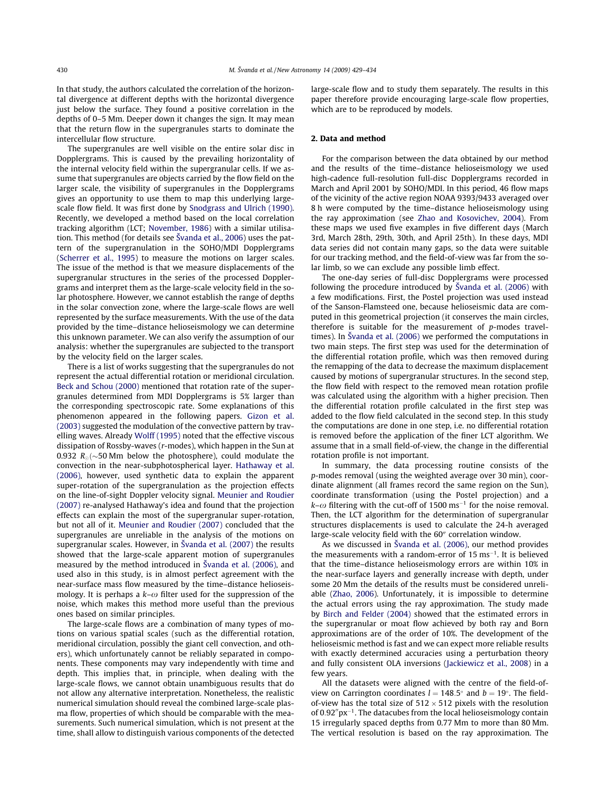In that study, the authors calculated the correlation of the horizontal divergence at different depths with the horizontal divergence just below the surface. They found a positive correlation in the depths of 0–5 Mm. Deeper down it changes the sign. It may mean that the return flow in the supergranules starts to dominate the intercellular flow structure.

The supergranules are well visible on the entire solar disc in Dopplergrams. This is caused by the prevailing horizontality of the internal velocity field within the supergranular cells. If we assume that supergranules are objects carried by the flow field on the larger scale, the visibility of supergranules in the Dopplergrams gives an opportunity to use them to map this underlying largescale flow field. It was first done by Snodgrass and Ulrich (1990). Recently, we developed a method based on the local correlation tracking algorithm (LCT; November, 1986) with a similar utilisation. This method (for details see Švanda et al., 2006) uses the pattern of the supergranulation in the SOHO/MDI Dopplergrams (Scherrer et al., 1995) to measure the motions on larger scales. The issue of the method is that we measure displacements of the supergranular structures in the series of the processed Dopplergrams and interpret them as the large-scale velocity field in the solar photosphere. However, we cannot establish the range of depths in the solar convection zone, where the large-scale flows are well represented by the surface measurements. With the use of the data provided by the time-distance helioseismology we can determine this unknown parameter. We can also verify the assumption of our analysis: whether the supergranules are subjected to the transport by the velocity field on the larger scales.

There is a list of works suggesting that the supergranules do not represent the actual differential rotation or meridional circulation. Beck and Schou (2000) mentioned that rotation rate of the supergranules determined from MDI Dopplergrams is 5% larger than the corresponding spectroscopic rate. Some explanations of this phenomenon appeared in the following papers. Gizon et al. (2003) suggested the modulation of the convective pattern by travelling waves. Already Wolff (1995) noted that the effective viscous dissipation of Rossby-waves (r-modes), which happen in the Sun at 0.932  $R_0$  (~50 Mm below the photosphere), could modulate the convection in the near-subphotospherical layer. Hathaway et al. (2006), however, used synthetic data to explain the apparent super-rotation of the supergranulation as the projection effects on the line-of-sight Doppler velocity signal. Meunier and Roudier (2007) re-analysed Hathaway's idea and found that the projection effects can explain the most of the supergranular super-rotation, but not all of it. Meunier and Roudier (2007) concluded that the supergranules are unreliable in the analysis of the motions on supergranular scales. However, in Švanda et al. (2007) the results showed that the large-scale apparent motion of supergranules measured by the method introduced in Svanda et al. (2006), and used also in this study, is in almost perfect agreement with the near-surface mass flow measured by the time-distance helioseismology. It is perhaps a  $k-\omega$  filter used for the suppression of the noise, which makes this method more useful than the previous ones based on similar principles.

The large-scale flows are a combination of many types of motions on various spatial scales (such as the differential rotation, meridional circulation, possibly the giant cell convection, and others), which unfortunately cannot be reliably separated in components. These components may vary independently with time and depth. This implies that, in principle, when dealing with the large-scale flows, we cannot obtain unambiguous results that do not allow any alternative interpretation. Nonetheless, the realistic numerical simulation should reveal the combined large-scale plasma flow, properties of which should be comparable with the measurements. Such numerical simulation, which is not present at the time, shall allow to distinguish various components of the detected large-scale flow and to study them separately. The results in this paper therefore provide encouraging large-scale flow properties, which are to be reproduced by models.

## 2. Data and method

For the comparison between the data obtained by our method and the results of the time-distance helioseismology we used high-cadence full-resolution full-disc Dopplergrams recorded in March and April 2001 by SOHO/MDI. In this period, 46 flow maps of the vicinity of the active region NOAA 9393/9433 averaged over 8 h were computed by the time-distance helioseismology using the ray approximation (see Zhao and Kosovichev, 2004). From these maps we used five examples in five different days (March 3rd, March 28th, 29th, 30th, and April 25th). In these days, MDI data series did not contain many gaps, so the data were suitable for our tracking method, and the field-of-view was far from the solar limb, so we can exclude any possible limb effect.

The one-day series of full-disc Dopplergrams were processed following the procedure introduced by Švanda et al. (2006) with a few modifications. First, the Postel projection was used instead of the Sanson-Flamsteed one, because helioseismic data are computed in this geometrical projection (it conserves the main circles, therefore is suitable for the measurement of  $p$ -modes traveltimes). In Švanda et al. (2006) we performed the computations in two main steps. The first step was used for the determination of the differential rotation profile, which was then removed during the remapping of the data to decrease the maximum displacement caused by motions of supergranular structures. In the second step, the flow field with respect to the removed mean rotation profile was calculated using the algorithm with a higher precision. Then the differential rotation profile calculated in the first step was added to the flow field calculated in the second step. In this study the computations are done in one step, i.e. no differential rotation is removed before the application of the finer LCT algorithm. We assume that in a small field-of-view, the change in the differential rotation profile is not important.

In summary, the data processing routine consists of the p-modes removal (using the weighted average over 30 min), coordinate alignment (all frames record the same region on the Sun), coordinate transformation (using the Postel projection) and a  $k-\omega$  filtering with the cut-off of 1500 ms<sup>-1</sup> for the noise removal. Then, the LCT algorithm for the determination of supergranular structures displacements is used to calculate the 24-h averaged large-scale velocity field with the 60" correlation window.

As we discussed in Švanda et al. (2006), our method provides the measurements with a random-error of  $15 \text{ ms}^{-1}$ . It is believed that the time-distance helioseismology errors are within 10% in the near-surface layers and generally increase with depth, under some 20 Mm the details of the results must be considered unreliable (Zhao, 2006). Unfortunately, it is impossible to determine the actual errors using the ray approximation. The study made by Birch and Felder (2004) showed that the estimated errors in the supergranular or moat flow achieved by both ray and Born approximations are of the order of 10%. The development of the helioseismic method is fast and we can expect more reliable results with exactly determined accuracies using a perturbation theory and fully consistent OLA inversions (Jackiewicz et al., 2008) in a few years.

All the datasets were aligned with the centre of the field-ofview on Carrington coordinates  $l = 148.5^{\circ}$  and  $b = 19^{\circ}$ . The fieldof-view has the total size of  $512 \times 512$  pixels with the resolution of  $0.92''$  px $^{-1}$ . The datacubes from the local helioseismology contain 15 irregularly spaced depths from 0.77 Mm to more than 80 Mm. The vertical resolution is based on the ray approximation. The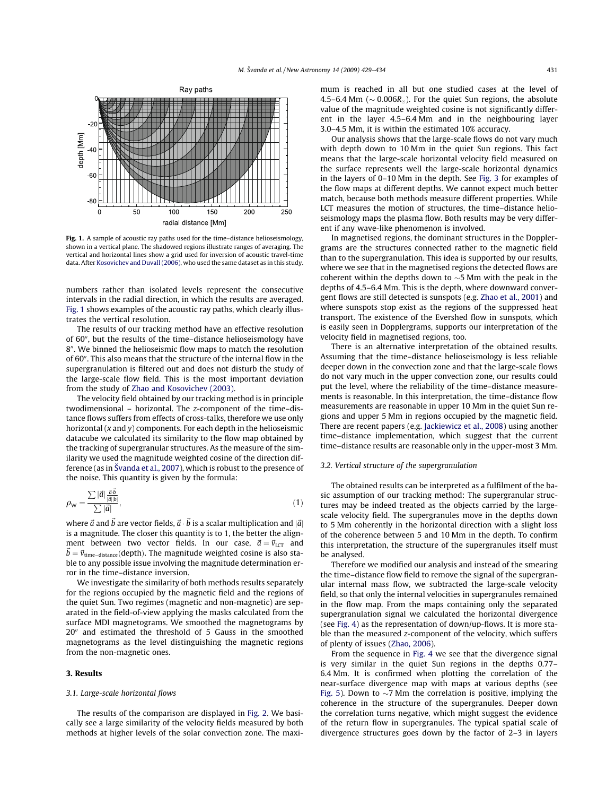

Fig. 1. A sample of acoustic ray paths used for the time-distance helioseismology, shown in a vertical plane. The shadowed regions illustrate ranges of averaging. The vertical and horizontal lines show a grid used for inversion of acoustic travel-time data, After Kosovichev and Duvall (2006), who used the same dataset as in this study.

numbers rather than isolated levels represent the consecutive intervals in the radial direction, in which the results are averaged. Fig. 1 shows examples of the acoustic ray paths, which clearly illustrates the vertical resolution.

The results of our tracking method have an effective resolution of 60", but the results of the time-distance helioseismology have 8". We binned the helioseismic flow maps to match the resolution of 60". This also means that the structure of the internal flow in the supergranulation is filtered out and does not disturb the study of the large-scale flow field. This is the most important deviation from the study of Zhao and Kosovichev (2003).

The velocity field obtained by our tracking method is in principle twodimensional - horizontal. The z-component of the time-distance flows suffers from effects of cross-talks, therefore we use only horizontal  $(x$  and  $y)$  components. For each depth in the helioseismic datacube we calculated its similarity to the flow map obtained by the tracking of supergranular structures. As the measure of the similarity we used the magnitude weighted cosine of the direction difference (as in Švanda et al., 2007), which is robust to the presence of the noise. This quantity is given by the formula:

$$
\rho_{\rm W} = \frac{\sum |\vec{a}| \frac{\vec{a} \cdot \vec{b}}{|\vec{a}||\vec{b}|}}{\sum |\vec{a}|},\tag{1}
$$

where  $\vec{a}$  and  $\vec{b}$  are vector fields,  $\vec{a} \cdot \vec{b}$  is a scalar multiplication and  $|\vec{a}|$ is a magnitude. The closer this quantity is to 1, the better the alignment between two vector fields. In our case,  $\vec{a} = \vec{v}_{\text{LCT}}$  and  $\vec{b} = \vec{v}_{time-distance}$  (depth). The magnitude weighted cosine is also stable to any possible issue involving the magnitude determination error in the time-distance inversion.

We investigate the similarity of both methods results separately for the regions occupied by the magnetic field and the regions of the quiet Sun. Two regimes (magnetic and non-magnetic) are separated in the field-of-view applying the masks calculated from the surface MDI magnetograms. We smoothed the magnetograms by 20" and estimated the threshold of 5 Gauss in the smoothed magnetograms as the level distinguishing the magnetic regions from the non-magnetic ones.

## 3. Results

#### 3.1. Large-scale horizontal flows

The results of the comparison are displayed in Fig. 2. We basically see a large similarity of the velocity fields measured by both methods at higher levels of the solar convection zone. The maximum is reached in all but one studied cases at the level of 4.5–6.4 Mm ( $\sim$  0.006 $R_{\odot}$ ). For the quiet Sun regions, the absolute value of the magnitude weighted cosine is not significantly different in the layer 4.5-6.4 Mm and in the neighbouring layer 3.0–4.5 Mm, it is within the estimated 10% accuracy.

Our analysis shows that the large-scale flows do not vary much with depth down to 10 Mm in the quiet Sun regions. This fact means that the large-scale horizontal velocity field measured on the surface represents well the large-scale horizontal dynamics in the layers of 0-10 Mm in the depth. See Fig. 3 for examples of the flow maps at different depths. We cannot expect much better match, because both methods measure different properties. While LCT measures the motion of structures, the time-distance helioseismology maps the plasma flow. Both results may be very different if any wave-like phenomenon is involved.

In magnetised regions, the dominant structures in the Dopplergrams are the structures connected rather to the magnetic field than to the supergranulation. This idea is supported by our results, where we see that in the magnetised regions the detected flows are coherent within the depths down to  $\sim$  5 Mm with the peak in the depths of 4.5-6.4 Mm. This is the depth, where downward convergent flows are still detected is sunspots (e.g. Zhao et al., 2001) and where sunspots stop exist as the regions of the suppressed heat transport. The existence of the Evershed flow in sunspots, which is easily seen in Dopplergrams, supports our interpretation of the velocity field in magnetised regions, too.

There is an alternative interpretation of the obtained results. Assuming that the time-distance helioseismology is less reliable deeper down in the convection zone and that the large-scale flows do not vary much in the upper convection zone, our results could put the level, where the reliability of the time-distance measurements is reasonable. In this interpretation, the time-distance flow measurements are reasonable in upper 10 Mm in the quiet Sun regions and upper 5 Mm in regions occupied by the magnetic field. There are recent papers (e.g. Jackiewicz et al., 2008) using another time-distance implementation, which suggest that the current time-distance results are reasonable only in the upper-most 3 Mm.

#### 3.2. Vertical structure of the supergranulation

The obtained results can be interpreted as a fulfilment of the basic assumption of our tracking method: The supergranular structures may be indeed treated as the objects carried by the largescale velocity field. The supergranules move in the depths down to 5 Mm coherently in the horizontal direction with a slight loss of the coherence between 5 and 10 Mm in the depth. To confirm this interpretation, the structure of the supergranules itself must be analysed.

Therefore we modified our analysis and instead of the smearing the time-distance flow field to remove the signal of the supergranular internal mass flow, we subtracted the large-scale velocity field, so that only the internal velocities in supergranules remained in the flow map. From the maps containing only the separated supergranulation signal we calculated the horizontal divergence (see Fig. 4) as the representation of down/up-flows. It is more stable than the measured z-component of the velocity, which suffers of plenty of issues (Zhao, 2006).

From the sequence in Fig. 4 we see that the divergence signal is very similar in the quiet Sun regions in the depths 0.77-6.4 Mm. It is confirmed when plotting the correlation of the near-surface divergence map with maps at various depths (see Fig. 5). Down to  $\sim$ 7 Mm the correlation is positive, implying the coherence in the structure of the supergranules. Deeper down the correlation turns negative, which might suggest the evidence of the return flow in supergranules. The typical spatial scale of divergence structures goes down by the factor of 2-3 in layers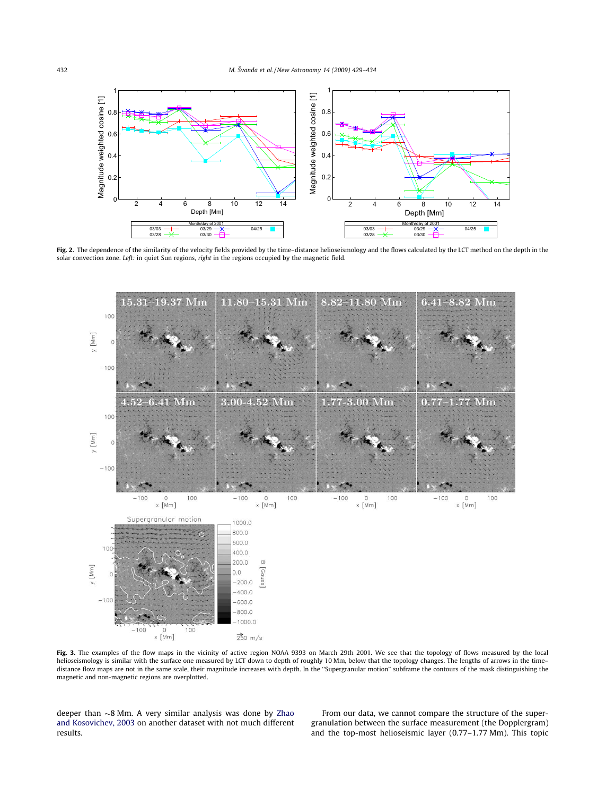

Fig. 2. The dependence of the similarity of the velocity fields provided by the time-distance helioseismology and the flows calculated by the LCT method on the depth in the solar convection zone. Left: in quiet Sun regions, right in the regions occupied by the magnetic field.



Fig. 3. The examples of the flow maps in the vicinity of active region NOAA 9393 on March 29th 2001. We see that the topology of flows measured by the local helioseismology is similar with the surface one measured by LCT down to depth of roughly 10 Mm, below that the topology changes. The lengths of arrows in the timedistance flow maps are not in the same scale, their magnitude increases with depth. In the "Supergranular motion" subframe the contours of the mask distinguishing the magnetic and non-magnetic regions are overplotted.

deeper than  $\sim$ 8 Mm. A very similar analysis was done by Zhao and Kosovichev, 2003 on another dataset with not much different results.

From our data, we cannot compare the structure of the supergranulation between the surface measurement (the Dopplergram) and the top-most helioseismic layer (0.77-1.77 Mm). This topic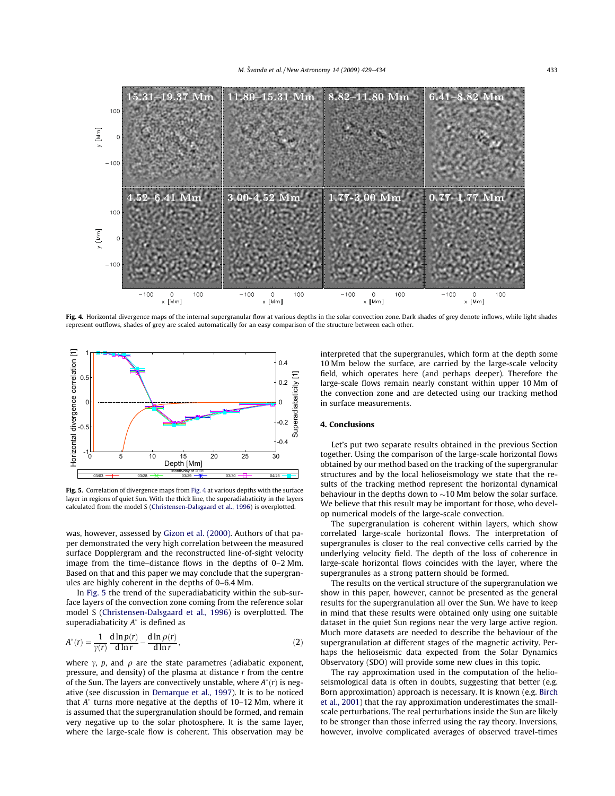

Fig. 4. Horizontal divergence maps of the internal supergranular flow at various depths in the solar convection zone. Dark shades of grey denote inflows, while light shades represent outflows, shades of grey are scaled automatically for an easy comparison of the structure between each other.



Fig. 5. Correlation of divergence maps from Fig. 4 at various depths with the surface layer in regions of quiet Sun. With the thick line, the superadiabaticity in the layers calculated from the model S (Christensen-Dalsgaard et al., 1996) is overplotted.

was, however, assessed by Gizon et al. (2000). Authors of that paper demonstrated the very high correlation between the measured surface Dopplergram and the reconstructed line-of-sight velocity image from the time-distance flows in the depths of 0-2 Mm. Based on that and this paper we may conclude that the supergranules are highly coherent in the depths of 0–6.4 Mm.

In Fig. 5 the trend of the superadiabaticity within the sub-surface layers of the convection zone coming from the reference solar model S (Christensen-Dalsgaard et al., 1996) is overplotted. The superadiabaticity  $A^*$  is defined as

$$
A^*(r) = \frac{1}{\gamma(r)} \frac{\mathrm{d}\ln p(r)}{\mathrm{d}\ln r} - \frac{\mathrm{d}\ln \rho(r)}{\mathrm{d}\ln r},\tag{2}
$$

where  $\gamma$ , p, and  $\rho$  are the state parametres (adiabatic exponent, pressure, and density) of the plasma at distance  $r$  from the centre of the Sun. The layers are convectively unstable, where  $A^*(r)$  is negative (see discussion in Demarque et al., 1997). It is to be noticed that  $A^*$  turns more negative at the depths of 10-12 Mm, where it is assumed that the supergranulation should be formed, and remain very negative up to the solar photosphere. It is the same layer, where the large-scale flow is coherent. This observation may be

interpreted that the supergranules, which form at the depth some 10 Mm below the surface, are carried by the large-scale velocity field, which operates here (and perhaps deeper). Therefore the large-scale flows remain nearly constant within upper 10 Mm of the convection zone and are detected using our tracking method in surface measurements.

## 4. Conclusions

Let's put two separate results obtained in the previous Section together. Using the comparison of the large-scale horizontal flows obtained by our method based on the tracking of the supergranular structures and by the local helioseismology we state that the results of the tracking method represent the horizontal dynamical behaviour in the depths down to  $\sim$ 10 Mm below the solar surface. We believe that this result may be important for those, who develop numerical models of the large-scale convection.

The supergranulation is coherent within layers, which show correlated large-scale horizontal flows. The interpretation of supergranules is closer to the real convective cells carried by the underlying velocity field. The depth of the loss of coherence in large-scale horizontal flows coincides with the layer, where the supergranules as a strong pattern should be formed.

The results on the vertical structure of the supergranulation we show in this paper, however, cannot be presented as the general results for the supergranulation all over the Sun. We have to keep in mind that these results were obtained only using one suitable dataset in the quiet Sun regions near the very large active region. Much more datasets are needed to describe the behaviour of the supergranulation at different stages of the magnetic activity. Perhaps the helioseismic data expected from the Solar Dynamics Observatory (SDO) will provide some new clues in this topic.

The ray approximation used in the computation of the helioseismological data is often in doubts, suggesting that better (e.g. Born approximation) approach is necessary. It is known (e.g. Birch et al., 2001) that the ray approximation underestimates the smallscale perturbations. The real perturbations inside the Sun are likely to be stronger than those inferred using the ray theory. Inversions, however, involve complicated averages of observed travel-times